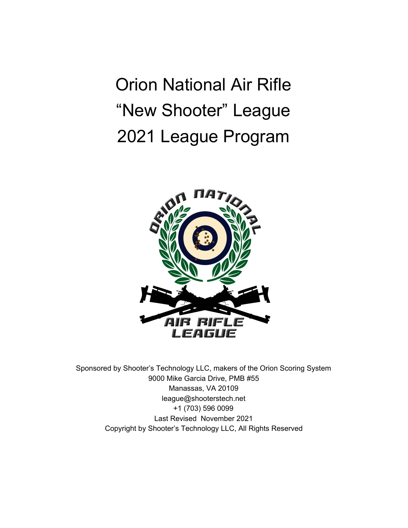Orion National Air Rifle "New Shooter" League 2021 League Program



Sponsored by Shooter's Technology LLC, makers of the Orion Scoring System 9000 Mike Garcia Drive, PMB #55 Manassas, VA 20109 league@shooterstech.net +1 (703) 596 0099 Last Revised November 2021 Copyright by Shooter's Technology LLC, All Rights Reserved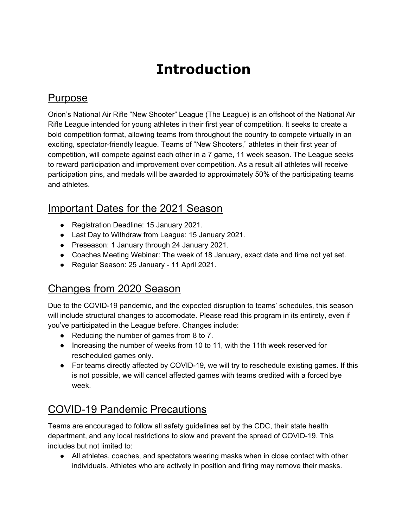# **Introduction**

#### Purpose

Orion's National Air Rifle "New Shooter" League (The League) is an offshoot of the National Air Rifle League intended for young athletes in their first year of competition. It seeks to create a bold competition format, allowing teams from throughout the country to compete virtually in an exciting, spectator-friendly league. Teams of "New Shooters," athletes in their first year of competition, will compete against each other in a 7 game, 11 week season. The League seeks to reward participation and improvement over competition. As a result all athletes will receive participation pins, and medals will be awarded to approximately 50% of the participating teams and athletes.

#### Important Dates for the 2021 Season

- Registration Deadline: 15 January 2021.
- Last Day to Withdraw from League: 15 January 2021.
- Preseason: 1 January through 24 January 2021.
- Coaches Meeting Webinar: The week of 18 January, exact date and time not yet set.
- Regular Season: 25 January 11 April 2021.

## Changes from 2020 Season

Due to the COVID-19 pandemic, and the expected disruption to teams' schedules, this season will include structural changes to accomodate. Please read this program in its entirety, even if you've participated in the League before. Changes include:

- Reducing the number of games from 8 to 7.
- Increasing the number of weeks from 10 to 11, with the 11th week reserved for rescheduled games only.
- For teams directly affected by COVID-19, we will try to reschedule existing games. If this is not possible, we will cancel affected games with teams credited with a forced bye week.

## COVID-19 Pandemic Precautions

Teams are encouraged to follow all safety guidelines set by the CDC, their state health department, and any local restrictions to slow and prevent the spread of COVID-19. This includes but not limited to:

• All athletes, coaches, and spectators wearing masks when in close contact with other individuals. Athletes who are actively in position and firing may remove their masks.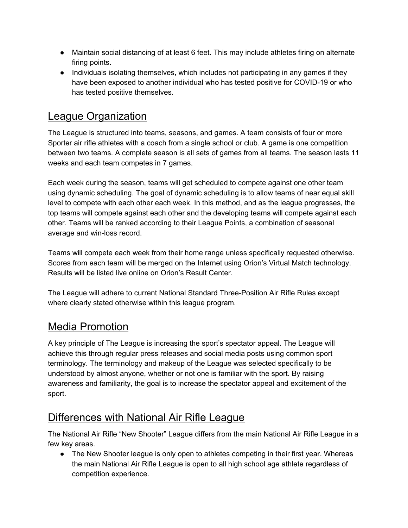- Maintain social distancing of at least 6 feet. This may include athletes firing on alternate firing points.
- Individuals isolating themselves, which includes not participating in any games if they have been exposed to another individual who has tested positive for COVID-19 or who has tested positive themselves.

### League Organization

The League is structured into teams, seasons, and games. A team consists of four or more Sporter air rifle athletes with a coach from a single school or club. A game is one competition between two teams. A complete season is all sets of games from all teams. The season lasts 11 weeks and each team competes in 7 games.

Each week during the season, teams will get scheduled to compete against one other team using dynamic scheduling. The goal of dynamic scheduling is to allow teams of near equal skill level to compete with each other each week. In this method, and as the league progresses, the top teams will compete against each other and the developing teams will compete against each other. Teams will be ranked according to their League Points, a combination of seasonal average and win-loss record.

Teams will compete each week from their home range unless specifically requested otherwise. Scores from each team will be merged on the Internet using Orion's Virtual Match technology. Results will be listed live online on Orion's Result Center.

The League will adhere to current National Standard Three-Position Air Rifle Rules except where clearly stated otherwise within this league program.

### Media Promotion

A key principle of The League is increasing the sport's spectator appeal. The League will achieve this through regular press releases and social media posts using common sport terminology. The terminology and makeup of the League was selected specifically to be understood by almost anyone, whether or not one is familiar with the sport. By raising awareness and familiarity, the goal is to increase the spectator appeal and excitement of the sport.

### Differences with National Air Rifle League

The National Air Rifle "New Shooter" League differs from the main National Air Rifle League in a few key areas.

• The New Shooter league is only open to athletes competing in their first year. Whereas the main National Air Rifle League is open to all high school age athlete regardless of competition experience.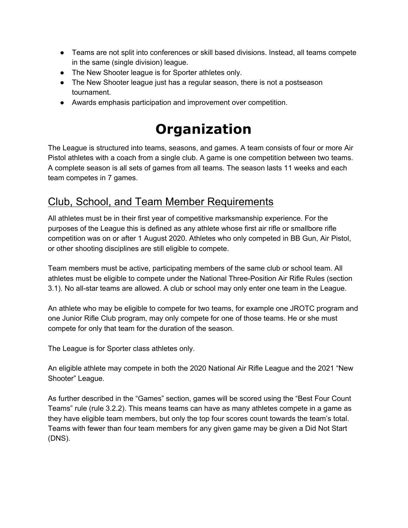- Teams are not split into conferences or skill based divisions. Instead, all teams compete in the same (single division) league.
- The New Shooter league is for Sporter athletes only.
- The New Shooter league just has a regular season, there is not a postseason tournament.
- Awards emphasis participation and improvement over competition.

# **Organization**

The League is structured into teams, seasons, and games. A team consists of four or more Air Pistol athletes with a coach from a single club. A game is one competition between two teams. A complete season is all sets of games from all teams. The season lasts 11 weeks and each team competes in 7 games.

### Club, School, and Team Member Requirements

All athletes must be in their first year of competitive marksmanship experience. For the purposes of the League this is defined as any athlete whose first air rifle or smallbore rifle competition was on or after 1 August 2020. Athletes who only competed in BB Gun, Air Pistol, or other shooting disciplines are still eligible to compete.

Team members must be active, participating members of the same club or school team. All athletes must be eligible to compete under the National Three-Position Air Rifle Rules (section 3.1). No all-star teams are allowed. A club or school may only enter one team in the League.

An athlete who may be eligible to compete for two teams, for example one JROTC program and one Junior Rifle Club program, may only compete for one of those teams. He or she must compete for only that team for the duration of the season.

The League is for Sporter class athletes only.

An eligible athlete may compete in both the 2020 National Air Rifle League and the 2021 "New Shooter" League.

As further described in the "Games" section, games will be scored using the "Best Four Count Teams" rule (rule 3.2.2). This means teams can have as many athletes compete in a game as they have eligible team members, but only the top four scores count towards the team's total. Teams with fewer than four team members for any given game may be given a Did Not Start (DNS).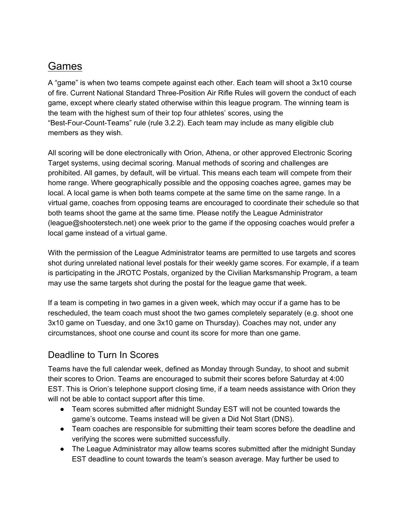#### Games

A "game" is when two teams compete against each other. Each team will shoot a 3x10 course of fire. Current National Standard Three-Position Air Rifle Rules will govern the conduct of each game, except where clearly stated otherwise within this league program. The winning team is the team with the highest sum of their top four athletes' scores, using the "Best-Four-Count-Teams" rule (rule 3.2.2). Each team may include as many eligible club members as they wish.

All scoring will be done electronically with Orion, Athena, or other approved Electronic Scoring Target systems, using decimal scoring. Manual methods of scoring and challenges are prohibited. All games, by default, will be virtual. This means each team will compete from their home range. Where geographically possible and the opposing coaches agree, games may be local. A local game is when both teams compete at the same time on the same range. In a virtual game, coaches from opposing teams are encouraged to coordinate their schedule so that both teams shoot the game at the same time. Please notify the League Administrator (league@shooterstech.net) one week prior to the game if the opposing coaches would prefer a local game instead of a virtual game.

With the permission of the League Administrator teams are permitted to use targets and scores shot during unrelated national level postals for their weekly game scores. For example, if a team is participating in the JROTC Postals, organized by the Civilian Marksmanship Program, a team may use the same targets shot during the postal for the league game that week.

If a team is competing in two games in a given week, which may occur if a game has to be rescheduled, the team coach must shoot the two games completely separately (e.g. shoot one 3x10 game on Tuesday, and one 3x10 game on Thursday). Coaches may not, under any circumstances, shoot one course and count its score for more than one game.

#### Deadline to Turn In Scores

Teams have the full calendar week, defined as Monday through Sunday, to shoot and submit their scores to Orion. Teams are encouraged to submit their scores before Saturday at 4:00 EST. This is Orion's telephone support closing time, if a team needs assistance with Orion they will not be able to contact support after this time.

- Team scores submitted after midnight Sunday EST will not be counted towards the game's outcome. Teams instead will be given a Did Not Start (DNS).
- Team coaches are responsible for submitting their team scores before the deadline and verifying the scores were submitted successfully.
- The League Administrator may allow teams scores submitted after the midnight Sunday EST deadline to count towards the team's season average. May further be used to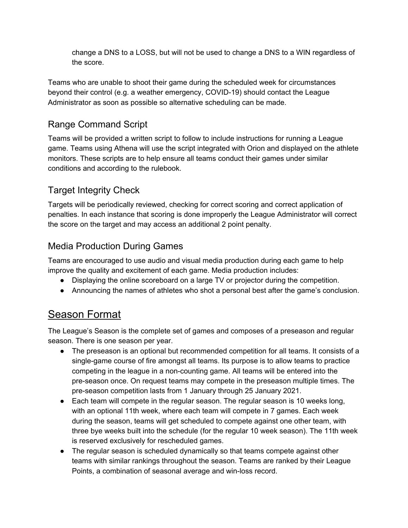change a DNS to a LOSS, but will not be used to change a DNS to a WIN regardless of the score.

Teams who are unable to shoot their game during the scheduled week for circumstances beyond their control (e.g. a weather emergency, COVID-19) should contact the League Administrator as soon as possible so alternative scheduling can be made.

#### Range Command Script

Teams will be provided a written script to follow to include instructions for running a League game. Teams using Athena will use the script integrated with Orion and displayed on the athlete monitors. These scripts are to help ensure all teams conduct their games under similar conditions and according to the rulebook.

#### Target Integrity Check

Targets will be periodically reviewed, checking for correct scoring and correct application of penalties. In each instance that scoring is done improperly the League Administrator will correct the score on the target and may access an additional 2 point penalty.

#### Media Production During Games

Teams are encouraged to use audio and visual media production during each game to help improve the quality and excitement of each game. Media production includes:

- Displaying the online scoreboard on a large TV or projector during the competition.
- Announcing the names of athletes who shot a personal best after the game's conclusion.

### Season Format

The League's Season is the complete set of games and composes of a preseason and regular season. There is one season per year.

- The preseason is an optional but recommended competition for all teams. It consists of a single-game course of fire amongst all teams. Its purpose is to allow teams to practice competing in the league in a non-counting game. All teams will be entered into the pre-season once. On request teams may compete in the preseason multiple times. The pre-season competition lasts from 1 January through 25 January 2021.
- Each team will compete in the regular season. The regular season is 10 weeks long, with an optional 11th week, where each team will compete in 7 games. Each week during the season, teams will get scheduled to compete against one other team, with three bye weeks built into the schedule (for the regular 10 week season). The 11th week is reserved exclusively for rescheduled games.
- The regular season is scheduled dynamically so that teams compete against other teams with similar rankings throughout the season. Teams are ranked by their League Points, a combination of seasonal average and win-loss record.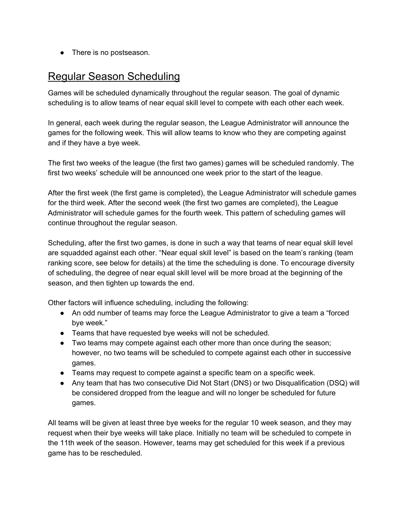• There is no postseason.

#### Regular Season Scheduling

Games will be scheduled dynamically throughout the regular season. The goal of dynamic scheduling is to allow teams of near equal skill level to compete with each other each week.

In general, each week during the regular season, the League Administrator will announce the games for the following week. This will allow teams to know who they are competing against and if they have a bye week.

The first two weeks of the league (the first two games) games will be scheduled randomly. The first two weeks' schedule will be announced one week prior to the start of the league.

After the first week (the first game is completed), the League Administrator will schedule games for the third week. After the second week (the first two games are completed), the League Administrator will schedule games for the fourth week. This pattern of scheduling games will continue throughout the regular season.

Scheduling, after the first two games, is done in such a way that teams of near equal skill level are squadded against each other. "Near equal skill level" is based on the team's ranking (team ranking score, see below for details) at the time the scheduling is done. To encourage diversity of scheduling, the degree of near equal skill level will be more broad at the beginning of the season, and then tighten up towards the end.

Other factors will influence scheduling, including the following:

- An odd number of teams may force the League Administrator to give a team a "forced bye week."
- Teams that have requested bye weeks will not be scheduled.
- Two teams may compete against each other more than once during the season; however, no two teams will be scheduled to compete against each other in successive games.
- Teams may request to compete against a specific team on a specific week.
- Any team that has two consecutive Did Not Start (DNS) or two Disqualification (DSQ) will be considered dropped from the league and will no longer be scheduled for future games.

All teams will be given at least three bye weeks for the regular 10 week season, and they may request when their bye weeks will take place. Initially no team will be scheduled to compete in the 11th week of the season. However, teams may get scheduled for this week if a previous game has to be rescheduled.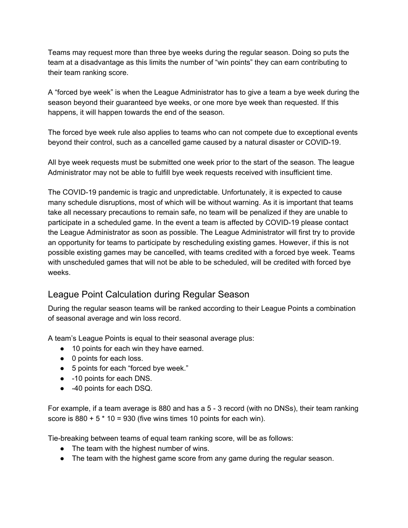Teams may request more than three bye weeks during the regular season. Doing so puts the team at a disadvantage as this limits the number of "win points" they can earn contributing to their team ranking score.

A "forced bye week" is when the League Administrator has to give a team a bye week during the season beyond their guaranteed bye weeks, or one more bye week than requested. If this happens, it will happen towards the end of the season.

The forced bye week rule also applies to teams who can not compete due to exceptional events beyond their control, such as a cancelled game caused by a natural disaster or COVID-19.

All bye week requests must be submitted one week prior to the start of the season. The league Administrator may not be able to fulfill bye week requests received with insufficient time.

The COVID-19 pandemic is tragic and unpredictable. Unfortunately, it is expected to cause many schedule disruptions, most of which will be without warning. As it is important that teams take all necessary precautions to remain safe, no team will be penalized if they are unable to participate in a scheduled game. In the event a team is affected by COVID-19 please contact the League Administrator as soon as possible. The League Administrator will first try to provide an opportunity for teams to participate by rescheduling existing games. However, if this is not possible existing games may be cancelled, with teams credited with a forced bye week. Teams with unscheduled games that will not be able to be scheduled, will be credited with forced bye weeks.

#### League Point Calculation during Regular Season

During the regular season teams will be ranked according to their League Points a combination of seasonal average and win loss record.

A team's League Points is equal to their seasonal average plus:

- 10 points for each win they have earned.
- 0 points for each loss.
- 5 points for each "forced bye week."
- -10 points for each DNS.
- -40 points for each DSQ.

For example, if a team average is 880 and has a 5 - 3 record (with no DNSs), their team ranking score is  $880 + 5 * 10 = 930$  (five wins times 10 points for each win).

Tie-breaking between teams of equal team ranking score, will be as follows:

- The team with the highest number of wins.
- The team with the highest game score from any game during the regular season.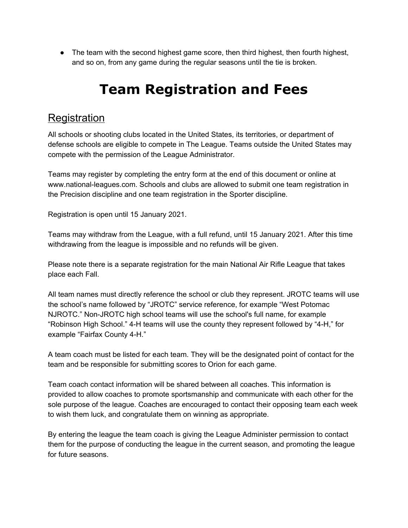• The team with the second highest game score, then third highest, then fourth highest, and so on, from any game during the regular seasons until the tie is broken.

# **Team Registration and Fees**

#### **Registration**

All schools or shooting clubs located in the United States, its territories, or department of defense schools are eligible to compete in The League. Teams outside the United States may compete with the permission of the League Administrator.

Teams may register by completing the entry form at the end of this document or online at www.national-leagues.com. Schools and clubs are allowed to submit one team registration in the Precision discipline and one team registration in the Sporter discipline.

Registration is open until 15 January 2021.

Teams may withdraw from the League, with a full refund, until 15 January 2021. After this time withdrawing from the league is impossible and no refunds will be given.

Please note there is a separate registration for the main National Air Rifle League that takes place each Fall.

All team names must directly reference the school or club they represent. JROTC teams will use the school's name followed by "JROTC" service reference, for example "West Potomac NJROTC." Non-JROTC high school teams will use the school's full name, for example "Robinson High School." 4-H teams will use the county they represent followed by "4-H," for example "Fairfax County 4-H."

A team coach must be listed for each team. They will be the designated point of contact for the team and be responsible for submitting scores to Orion for each game.

Team coach contact information will be shared between all coaches. This information is provided to allow coaches to promote sportsmanship and communicate with each other for the sole purpose of the league. Coaches are encouraged to contact their opposing team each week to wish them luck, and congratulate them on winning as appropriate.

By entering the league the team coach is giving the League Administer permission to contact them for the purpose of conducting the league in the current season, and promoting the league for future seasons.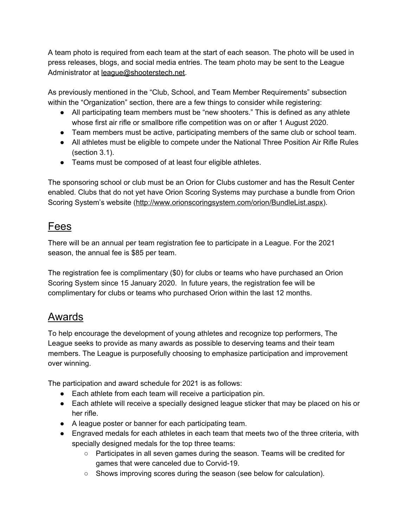A team photo is required from each team at the start of each season. The photo will be used in press releases, blogs, and social media entries. The team photo may be sent to the League Administrator at [league@shooterstech.net.](mailto:league@shooterstech.net)

As previously mentioned in the "Club, School, and Team Member Requirements" subsection within the "Organization" section, there are a few things to consider while registering:

- All participating team members must be "new shooters." This is defined as any athlete whose first air rifle or smallbore rifle competition was on or after 1 August 2020.
- Team members must be active, participating members of the same club or school team.
- All athletes must be eligible to compete under the National Three Position Air Rifle Rules (section 3.1).
- Teams must be composed of at least four eligible athletes.

The sponsoring school or club must be an Orion for Clubs customer and has the Result Center enabled. Clubs that do not yet have Orion Scoring Systems may purchase a bundle from Orion Scoring System's website ([http://www.orionscoringsystem.com/orion/BundleList.aspx\)](http://www.orionscoringsystem.com/orion/BundleList.aspx).

#### Fees

There will be an annual per team registration fee to participate in a League. For the 2021 season, the annual fee is \$85 per team.

The registration fee is complimentary (\$0) for clubs or teams who have purchased an Orion Scoring System since 15 January 2020. In future years, the registration fee will be complimentary for clubs or teams who purchased Orion within the last 12 months.

### Awards

To help encourage the development of young athletes and recognize top performers, The League seeks to provide as many awards as possible to deserving teams and their team members. The League is purposefully choosing to emphasize participation and improvement over winning.

The participation and award schedule for 2021 is as follows:

- Each athlete from each team will receive a participation pin.
- Each athlete will receive a specially designed league sticker that may be placed on his or her rifle.
- A league poster or banner for each participating team.
- Engraved medals for each athletes in each team that meets two of the three criteria, with specially designed medals for the top three teams:
	- $\circ$  Participates in all seven games during the season. Teams will be credited for games that were canceled due to Corvid-19.
	- Shows improving scores during the season (see below for calculation).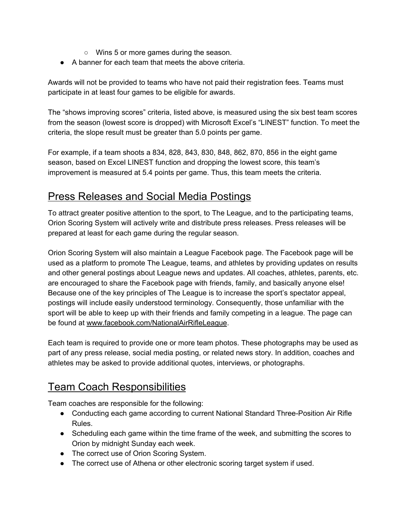- Wins 5 or more games during the season.
- A banner for each team that meets the above criteria.

Awards will not be provided to teams who have not paid their registration fees. Teams must participate in at least four games to be eligible for awards.

The "shows improving scores" criteria, listed above, is measured using the six best team scores from the season (lowest score is dropped) with Microsoft Excel's "LINEST" function. To meet the criteria, the slope result must be greater than 5.0 points per game.

For example, if a team shoots a 834, 828, 843, 830, 848, 862, 870, 856 in the eight game season, based on Excel LINEST function and dropping the lowest score, this team's improvement is measured at 5.4 points per game. Thus, this team meets the criteria.

#### Press Releases and Social Media Postings

To attract greater positive attention to the sport, to The League, and to the participating teams, Orion Scoring System will actively write and distribute press releases. Press releases will be prepared at least for each game during the regular season.

Orion Scoring System will also maintain a League Facebook page. The Facebook page will be used as a platform to promote The League, teams, and athletes by providing updates on results and other general postings about League news and updates. All coaches, athletes, parents, etc. are encouraged to share the Facebook page with friends, family, and basically anyone else! Because one of the key principles of The League is to increase the sport's spectator appeal, postings will include easily understood terminology. Consequently, those unfamiliar with the sport will be able to keep up with their friends and family competing in a league. The page can be found at [www.facebook.com/NationalAirRifleLeague](https://www.facebook.com/NationalAirRifleLeague).

Each team is required to provide one or more team photos. These photographs may be used as part of any press release, social media posting, or related news story. In addition, coaches and athletes may be asked to provide additional quotes, interviews, or photographs.

### Team Coach Responsibilities

Team coaches are responsible for the following:

- Conducting each game according to current National Standard Three-Position Air Rifle Rules.
- Scheduling each game within the time frame of the week, and submitting the scores to Orion by midnight Sunday each week.
- The correct use of Orion Scoring System.
- The correct use of Athena or other electronic scoring target system if used.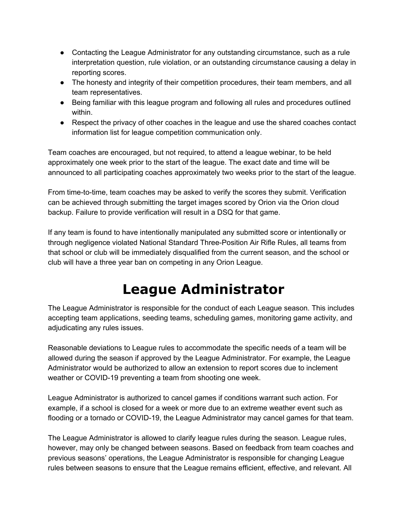- Contacting the League Administrator for any outstanding circumstance, such as a rule interpretation question, rule violation, or an outstanding circumstance causing a delay in reporting scores.
- The honesty and integrity of their competition procedures, their team members, and all team representatives.
- Being familiar with this league program and following all rules and procedures outlined within.
- Respect the privacy of other coaches in the league and use the shared coaches contact information list for league competition communication only.

Team coaches are encouraged, but not required, to attend a league webinar, to be held approximately one week prior to the start of the league. The exact date and time will be announced to all participating coaches approximately two weeks prior to the start of the league.

From time-to-time, team coaches may be asked to verify the scores they submit. Verification can be achieved through submitting the target images scored by Orion via the Orion cloud backup. Failure to provide verification will result in a DSQ for that game.

If any team is found to have intentionally manipulated any submitted score or intentionally or through negligence violated National Standard Three-Position Air Rifle Rules, all teams from that school or club will be immediately disqualified from the current season, and the school or club will have a three year ban on competing in any Orion League.

# **League Administrator**

The League Administrator is responsible for the conduct of each League season. This includes accepting team applications, seeding teams, scheduling games, monitoring game activity, and adjudicating any rules issues.

Reasonable deviations to League rules to accommodate the specific needs of a team will be allowed during the season if approved by the League Administrator. For example, the League Administrator would be authorized to allow an extension to report scores due to inclement weather or COVID-19 preventing a team from shooting one week.

League Administrator is authorized to cancel games if conditions warrant such action. For example, if a school is closed for a week or more due to an extreme weather event such as flooding or a tornado or COVID-19, the League Administrator may cancel games for that team.

The League Administrator is allowed to clarify league rules during the season. League rules, however, may only be changed between seasons. Based on feedback from team coaches and previous seasons' operations, the League Administrator is responsible for changing League rules between seasons to ensure that the League remains efficient, effective, and relevant. All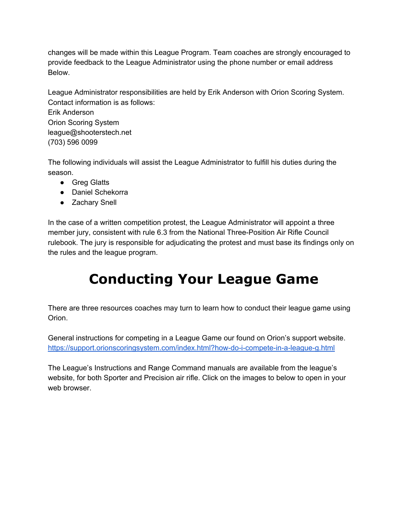changes will be made within this League Program. Team coaches are strongly encouraged to provide feedback to the League Administrator using the phone number or email address Below.

League Administrator responsibilities are held by Erik Anderson with Orion Scoring System. Contact information is as follows: Erik Anderson Orion Scoring System league@shooterstech.net (703) 596 0099

The following individuals will assist the League Administrator to fulfill his duties during the season.

- Greg Glatts
- Daniel Schekorra
- Zachary Snell

In the case of a written competition protest, the League Administrator will appoint a three member jury, consistent with rule 6.3 from the National Three-Position Air Rifle Council rulebook. The jury is responsible for adjudicating the protest and must base its findings only on the rules and the league program.

# **Conducting Your League Game**

There are three resources coaches may turn to learn how to conduct their league game using Orion.

General instructions for competing in a League Game our found on Orion's support website. <https://support.orionscoringsystem.com/index.html?how-do-i-compete-in-a-league-g.html>

The League's Instructions and Range Command manuals are available from the league's website, for both Sporter and Precision air rifle. Click on the images to below to open in your web browser.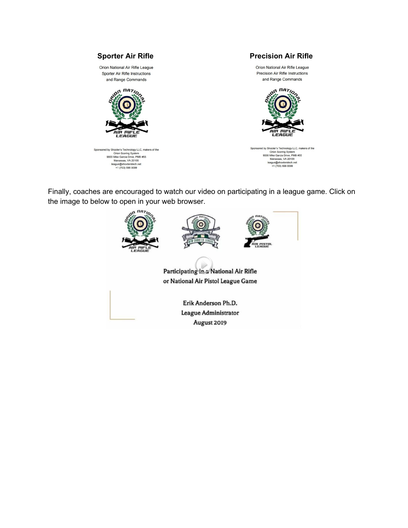

Finally, coaches are encouraged to watch our video on participating in a league game. Click on the image to below to open in your web browser.

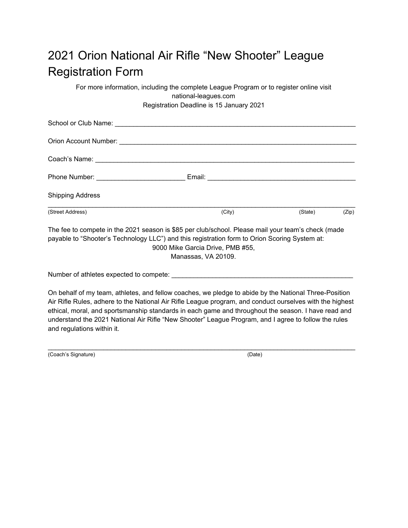# 2021 Orion National Air Rifle "New Shooter" League Registration Form

For more information, including the complete League Program or to register online visit national-leagues.com Registration Deadline is 15 January 2021

| <b>Shipping Address</b>                                                                                                                                                                             |                                                         |         |       |  |
|-----------------------------------------------------------------------------------------------------------------------------------------------------------------------------------------------------|---------------------------------------------------------|---------|-------|--|
| (Street Address)                                                                                                                                                                                    | (City)                                                  | (State) | (Zip) |  |
| The fee to compete in the 2021 season is \$85 per club/school. Please mail your team's check (made<br>payable to "Shooter's Technology LLC") and this registration form to Orion Scoring System at: | 9000 Mike Garcia Drive, PMB #55,<br>$M = - - - - - 1/2$ |         |       |  |

Manassas, VA 20109.

Number of athletes expected to compete:

On behalf of my team, athletes, and fellow coaches, we pledge to abide by the National Three-Position Air Rifle Rules, adhere to the National Air Rifle League program, and conduct ourselves with the highest ethical, moral, and sportsmanship standards in each game and throughout the season. I have read and understand the 2021 National Air Rifle "New Shooter" League Program, and I agree to follow the rules and regulations within it.

 $\_$  ,  $\_$  ,  $\_$  ,  $\_$  ,  $\_$  ,  $\_$  ,  $\_$  ,  $\_$  ,  $\_$  ,  $\_$  ,  $\_$  ,  $\_$  ,  $\_$  ,  $\_$  ,  $\_$  ,  $\_$  ,  $\_$  ,  $\_$  ,  $\_$  ,  $\_$ 

(Coach's Signature) (Date)